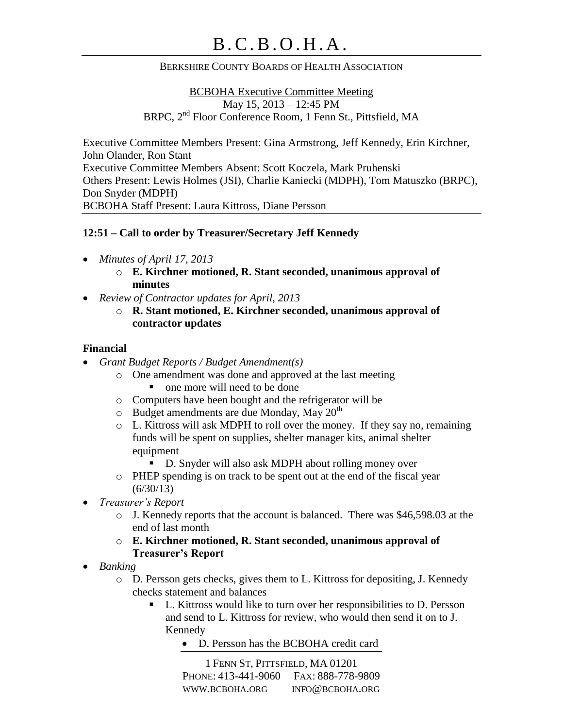#### BERKSHIRE COUNTY BOARDS OF HEALTH ASSOCIATION

BCBOHA Executive Committee Meeting May 15, 2013 – 12:45 PM BRPC, 2nd Floor Conference Room, 1 Fenn St., Pittsfield, MA

Executive Committee Members Present: Gina Armstrong, Jeff Kennedy, Erin Kirchner, John Olander, Ron Stant Executive Committee Members Absent: Scott Koczela, Mark Pruhenski Others Present: Lewis Holmes (JSI), Charlie Kaniecki (MDPH), Tom Matuszko (BRPC), Don Snyder (MDPH) BCBOHA Staff Present: Laura Kittross, Diane Persson

#### **12:51 – Call to order by Treasurer/Secretary Jeff Kennedy**

- *Minutes of April 17, 2013*
	- o **E. Kirchner motioned, R. Stant seconded, unanimous approval of minutes**
- *Review of Contractor updates for April, 2013*
	- o **R. Stant motioned, E. Kirchner seconded, unanimous approval of contractor updates**

#### **Financial**

- *Grant Budget Reports / Budget Amendment(s)*
	- o One amendment was done and approved at the last meeting
		- one more will need to be done
	- o Computers have been bought and the refrigerator will be
	- $\circ$  Budget amendments are due Monday, May 20<sup>th</sup>
	- o L. Kittross will ask MDPH to roll over the money. If they say no, remaining funds will be spent on supplies, shelter manager kits, animal shelter equipment
		- D. Snyder will also ask MDPH about rolling money over
	- o PHEP spending is on track to be spent out at the end of the fiscal year  $(6/30/13)$
- *Treasurer's Report*
	- o J. Kennedy reports that the account is balanced. There was \$46,598.03 at the end of last month
	- o **E. Kirchner motioned, R. Stant seconded, unanimous approval of Treasurer's Report**
- *Banking*
	- o D. Persson gets checks, gives them to L. Kittross for depositing, J. Kennedy checks statement and balances
		- L. Kittross would like to turn over her responsibilities to D. Persson and send to L. Kittross for review, who would then send it on to J. Kennedy
			- D. Persson has the BCBOHA credit card

1 FENN ST, PITTSFIELD, MA 01201 PHONE: 413-441-9060 FAX: 888-778-9809 WWW.BCBOHA.ORG INFO@BCBOHA.ORG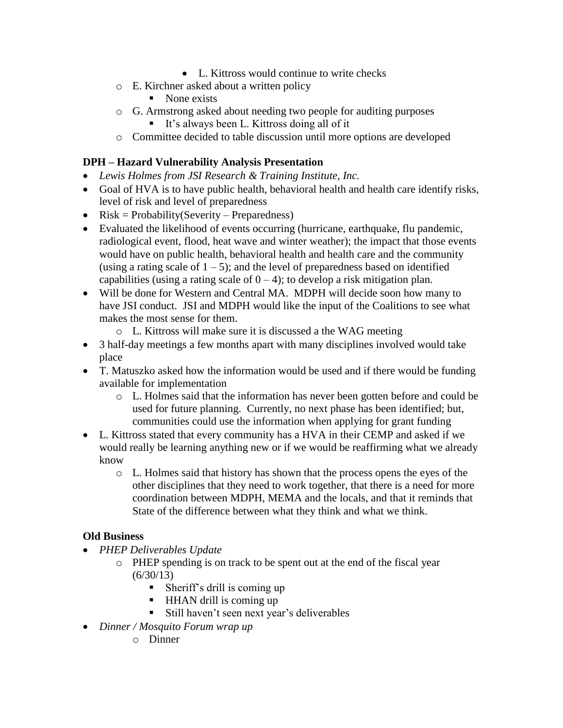- L. Kittross would continue to write checks
- o E. Kirchner asked about a written policy
	- $\blacksquare$  None exists
- o G. Armstrong asked about needing two people for auditing purposes
	- It's always been L. Kittross doing all of it
- o Committee decided to table discussion until more options are developed

# **DPH – Hazard Vulnerability Analysis Presentation**

- *Lewis Holmes from JSI Research & Training Institute, Inc.*
- Goal of HVA is to have public health, behavioral health and health care identify risks, level of risk and level of preparedness
- $Risk = Probability(Severity Preparedness)$
- Evaluated the likelihood of events occurring (hurricane, earthquake, flu pandemic, radiological event, flood, heat wave and winter weather); the impact that those events would have on public health, behavioral health and health care and the community (using a rating scale of  $1 - 5$ ); and the level of preparedness based on identified capabilities (using a rating scale of  $0 - 4$ ); to develop a risk mitigation plan.
- Will be done for Western and Central MA. MDPH will decide soon how many to have JSI conduct. JSI and MDPH would like the input of the Coalitions to see what makes the most sense for them.
	- o L. Kittross will make sure it is discussed a the WAG meeting
- 3 half-day meetings a few months apart with many disciplines involved would take place
- T. Matuszko asked how the information would be used and if there would be funding available for implementation
	- o L. Holmes said that the information has never been gotten before and could be used for future planning. Currently, no next phase has been identified; but, communities could use the information when applying for grant funding
- L. Kittross stated that every community has a HVA in their CEMP and asked if we would really be learning anything new or if we would be reaffirming what we already know
	- o L. Holmes said that history has shown that the process opens the eyes of the other disciplines that they need to work together, that there is a need for more coordination between MDPH, MEMA and the locals, and that it reminds that State of the difference between what they think and what we think.

# **Old Business**

- *PHEP Deliverables Update*
	- o PHEP spending is on track to be spent out at the end of the fiscal year  $(6/30/13)$ 
		- $\blacksquare$  Sheriff's drill is coming up
		- $\blacksquare$  HHAN drill is coming up
		- Still haven't seen next year's deliverables
- *Dinner / Mosquito Forum wrap up*
	- o Dinner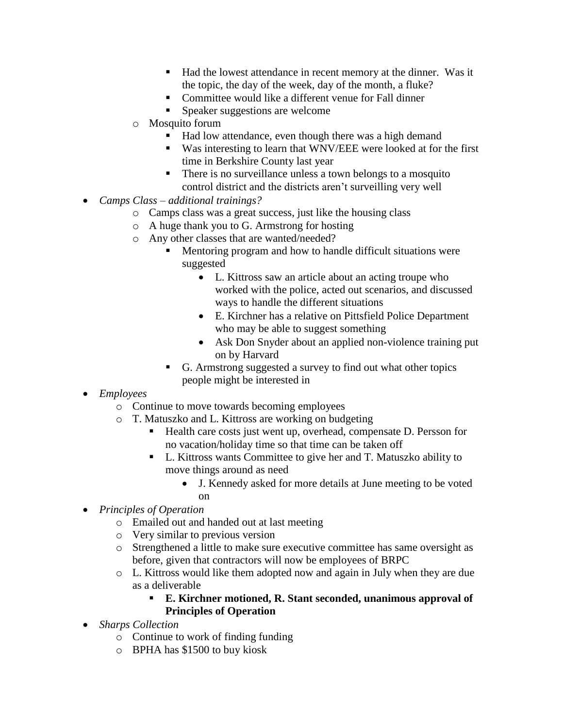- Had the lowest attendance in recent memory at the dinner. Was it the topic, the day of the week, day of the month, a fluke?
- Committee would like a different venue for Fall dinner
- Speaker suggestions are welcome
- o Mosquito forum
	- Had low attendance, even though there was a high demand
	- Was interesting to learn that WNV/EEE were looked at for the first time in Berkshire County last year
	- There is no surveillance unless a town belongs to a mosquito control district and the districts aren't surveilling very well
- *Camps Class – additional trainings?*
	- o Camps class was a great success, just like the housing class
	- o A huge thank you to G. Armstrong for hosting
	- o Any other classes that are wanted/needed?
		- Mentoring program and how to handle difficult situations were suggested
			- L. Kittross saw an article about an acting troupe who worked with the police, acted out scenarios, and discussed ways to handle the different situations
			- E. Kirchner has a relative on Pittsfield Police Department who may be able to suggest something
			- Ask Don Snyder about an applied non-violence training put on by Harvard
		- G. Armstrong suggested a survey to find out what other topics people might be interested in
- *Employees*
	- o Continue to move towards becoming employees
	- o T. Matuszko and L. Kittross are working on budgeting
		- Health care costs just went up, overhead, compensate D. Persson for no vacation/holiday time so that time can be taken off
		- L. Kittross wants Committee to give her and T. Matuszko ability to move things around as need
			- J. Kennedy asked for more details at June meeting to be voted on
- *Principles of Operation*
	- o Emailed out and handed out at last meeting
	- o Very similar to previous version
	- o Strengthened a little to make sure executive committee has same oversight as before, given that contractors will now be employees of BRPC
	- o L. Kittross would like them adopted now and again in July when they are due as a deliverable

#### **E. Kirchner motioned, R. Stant seconded, unanimous approval of Principles of Operation**

- *Sharps Collection*
	- o Continue to work of finding funding
	- o BPHA has \$1500 to buy kiosk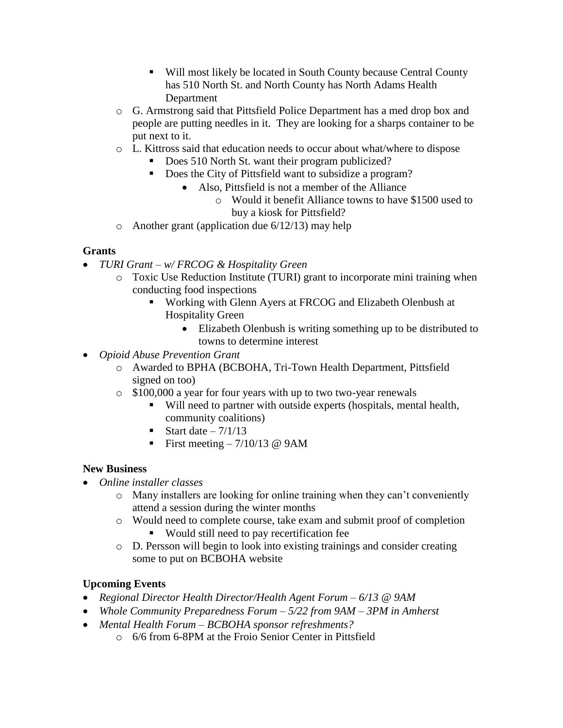- Will most likely be located in South County because Central County has 510 North St. and North County has North Adams Health Department
- o G. Armstrong said that Pittsfield Police Department has a med drop box and people are putting needles in it. They are looking for a sharps container to be put next to it.
- o L. Kittross said that education needs to occur about what/where to dispose
	- Does 510 North St. want their program publicized?
	- Does the City of Pittsfield want to subsidize a program?
		- Also, Pittsfield is not a member of the Alliance
			- o Would it benefit Alliance towns to have \$1500 used to buy a kiosk for Pittsfield?
- o Another grant (application due  $6/12/13$ ) may help

### **Grants**

- *TURI Grant – w/ FRCOG & Hospitality Green*
	- o Toxic Use Reduction Institute (TURI) grant to incorporate mini training when conducting food inspections
		- Working with Glenn Ayers at FRCOG and Elizabeth Olenbush at Hospitality Green
			- Elizabeth Olenbush is writing something up to be distributed to towns to determine interest
- *Opioid Abuse Prevention Grant*
	- o Awarded to BPHA (BCBOHA, Tri-Town Health Department, Pittsfield signed on too)
	- o \$100,000 a year for four years with up to two two-year renewals
		- Will need to partner with outside experts (hospitals, mental health, community coalitions)
		- Start date  $-7/1/13$
		- First meeting  $-7/10/13$  @ 9AM

### **New Business**

- *Online installer classes*
	- o Many installers are looking for online training when they can't conveniently attend a session during the winter months
	- o Would need to complete course, take exam and submit proof of completion Would still need to pay recertification fee
	- o D. Persson will begin to look into existing trainings and consider creating some to put on BCBOHA website

# **Upcoming Events**

- *Regional Director Health Director/Health Agent Forum – 6/13 @ 9AM*
- *Whole Community Preparedness Forum – 5/22 from 9AM – 3PM in Amherst*
- *Mental Health Forum – BCBOHA sponsor refreshments?*
	- o 6/6 from 6-8PM at the Froio Senior Center in Pittsfield